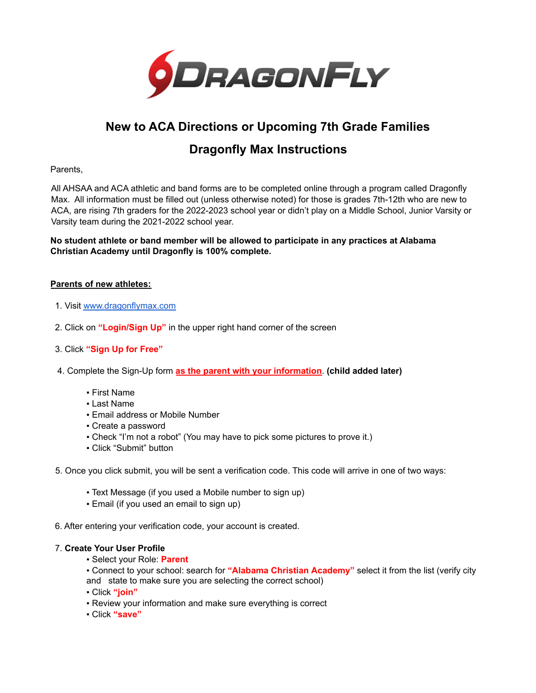

## **New to ACA Directions or Upcoming 7th Grade Families**

### **Dragonfly Max Instructions**

Parents,

All AHSAA and ACA athletic and band forms are to be completed online through a program called Dragonfly Max. All information must be filled out (unless otherwise noted) for those is grades 7th-12th who are new to ACA, are rising 7th graders for the 2022-2023 school year or didn't play on a Middle School, Junior Varsity or Varsity team during the 2021-2022 school year.

**No student athlete or band member will be allowed to participate in any practices at Alabama Christian Academy until Dragonfly is 100% complete.**

#### **Parents of new athletes:**

- 1. Visit [www.dragonflymax.com](http://www.dragonflymax.com)
- 2. Click on **"Login/Sign Up"** in the upper right hand corner of the screen
- 3. Click **"Sign Up for Free"**
- 4. Complete the Sign-Up form **as the parent with your information**. **(child added later)**
	- First Name
	- Last Name
	- **Email address or Mobile Number**
	- Create a password
	- Check "I'm not a robot" (You may have to pick some pictures to prove it.)
	- Click "Submit" button
- 5. Once you click submit, you will be sent a verification code. This code will arrive in one of two ways:
	- Text Message (if you used a Mobile number to sign up)
	- Email (if you used an email to sign up)
- 6. After entering your verification code, your account is created.

#### 7. **Create Your User Profile**

▪ Select your Role: **Parent**

▪ Connect to your school: search for **"Alabama Christian Academy"** select it from the list (verify city and state to make sure you are selecting the correct school)

- Click **"join"**
- Review your information and make sure everything is correct
- Click **"save"**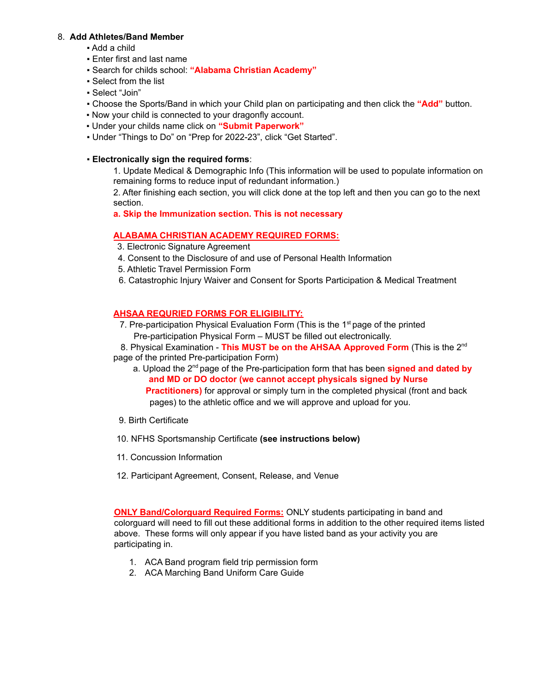#### 8. **Add Athletes/Band Member**

- Add a child
- **Enter first and last name**
- Search for childs school: **"Alabama Christian Academy"**
- Select from the list
- Select "Join"
- Choose the Sports/Band in which your Child plan on participating and then click the **"Add"** button.
- Now your child is connected to your dragonfly account.
- Under your childs name click on **"Submit Paperwork"**
- Under "Things to Do" on "Prep for 2022-23", click "Get Started".

#### ▪ **Electronically sign the required forms**:

1. Update Medical & Demographic Info (This information will be used to populate information on remaining forms to reduce input of redundant information.)

2. After finishing each section, you will click done at the top left and then you can go to the next section.

**a. Skip the Immunization section. This is not necessary**

#### **ALABAMA CHRISTIAN ACADEMY REQUIRED FORMS:**

- 3. Electronic Signature Agreement
- 4. Consent to the Disclosure of and use of Personal Health Information
- 5. Athletic Travel Permission Form
- 6. Catastrophic Injury Waiver and Consent for Sports Participation & Medical Treatment

#### **AHSAA REQURIED FORMS FOR ELIGIBILITY:**

7. Pre-participation Physical Evaluation Form (This is the  $1<sup>st</sup>$  page of the printed Pre-participation Physical Form – MUST be filled out electronically.

8. Physical Examination - **This MUST be on the AHSAA Approved Form** (This is the 2 nd page of the printed Pre-participation Form)

- a. Upload the 2 nd page of the Pre-participation form that has been **signed and dated by and MD or DO doctor (we cannot accept physicals signed by Nurse Practitioners)** for approval or simply turn in the completed physical (front and back pages) to the athletic office and we will approve and upload for you.
- 9. Birth Certificate
- 10. NFHS Sportsmanship Certificate **(see instructions below)**
- 11. Concussion Information
- 12. Participant Agreement, Consent, Release, and Venue

**ONLY Band/Colorguard Required Forms:** ONLY students participating in band and colorguard will need to fill out these additional forms in addition to the other required items listed above. These forms will only appear if you have listed band as your activity you are participating in.

- 1. ACA Band program field trip permission form
- 2. ACA Marching Band Uniform Care Guide